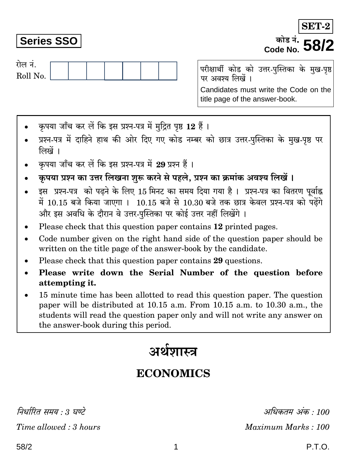निर्धारित समय : 3 घण्टे Time allowed: 3 hours

# **Series SSO**

रोल नं.

Roll No.

परीक्षार्थी कोड को उत्तर-पुस्तिका के मुख-पृष्ठ पर अवश्य लिखें । Candidates must write the Code on the title page of the answer-book.

- कपया जाँच कर लें कि इस प्रश्न-पत्र में मुद्रित पृष्ठ 12 हैं।
- प्रश्न-पत्र में दाहिने हाथ की ओर दिए गए कोड नम्बर को छात्र उत्तर-पुस्तिका के मुख-पृष्ठ पर लिखें ।
- कपया जाँच कर लें कि इस प्रश्न-पत्र में 29 प्रश्न हैं।
- कृपया प्रश्न का उत्तर लिखना शुरू करने से पहले, प्रश्न का क्रमांक अवश्य लिखें ।
- इस प्रश्न-पत्र को पढ़ने के लिए 15 मिनट का समय दिया गया है। प्रश्न-पत्र का वितरण पर्वाह्न में 10.15 बजे किया जाएगा । 10.15 बजे से 10.30 बजे तक छात्र केवल प्रश्न-पत्र को पढ़ेंगे और इस अवधि के दौरान वे उत्तर-पस्तिका पर कोई उत्तर नहीं लिखेंगे ।
- Please check that this question paper contains 12 printed pages.
- Code number given on the right hand side of the question paper should be  $\bullet$ written on the title page of the answer-book by the candidate.
- Please check that this question paper contains 29 questions.
- Please write down the Serial Number of the question before attempting it.
- 15 minute time has been allotted to read this question paper. The question paper will be distributed at 10.15 a.m. From 10.15 a.m. to 10.30 a.m., the students will read the question paper only and will not write any answer on the answer-book during this period.

# अर्थशास्त्र

# **ECONOMICS**

अधिकतम अंक : 100 Maximum Marks: 100

SET-<sup>कोड नं</sup>• **58** 

Code No.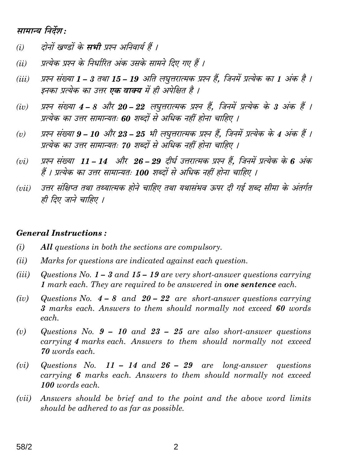# सामान्य निर्देश:

- दोनों खण्डों के **सभी** प्रश्न अनिवार्य हैं ।  $(i)$
- प्रत्येक प्रश्न के निर्धारित अंक उसके सामने दिए गए हैं ।  $(ii)$
- प्रश्न संख्या 1 3 तथा 15 19 अति लघूत्तरात्मक प्रश्न हैं. जिनमें प्रत्येक का 1 अंक है ।  $(iii)$ इनका प्रत्येक का उत्तर **एक वाक्य** में ही अपेक्षित है ।
- प्रश्न संख्या 4 8 और 20 22 लघुत्तरात्मक प्रश्न हैं, जिनमें प्रत्येक के 3 अंक हैं ।  $(iv)$ प्रत्येक का उत्तर सामान्यतः 60 शब्दों से अधिक नहीं होना चाहिए ।
- प्रश्न संख्या 9 10 और 23 25 भी लघुत्तरात्मक प्रश्न हैं, जिनमें प्रत्येक के 4 अंक हैं ।  $(v)$ प्रत्येक का उत्तर सामान्यतः 70 शब्दों से अधिक नहीं होना चाहिए ।
- प्रश्न संख्या 11 14 और 26 29 दीर्घ उत्तरात्मक प्रश्न हैं, जिनमें प्रत्येक के 6 अंक  $(vi)$ हैं । प्रत्येक का उत्तर सामान्यतः 100 शब्दों से अधिक नहीं होना चाहिए ।
- उत्तर संक्षिप्त तथा तथ्यात्मक होने चाहिए तथा यथासंभव ऊपर दी गई शब्द सीमा के अंतर्गत  $(vii)$ ही दिए जाने चाहिए ।

#### **General Instructions:**

- $(i)$ All questions in both the sections are compulsory.
- $(ii)$ Marks for questions are indicated against each question.
- $(iii)$ Questions No.  $1 - 3$  and  $15 - 19$  are very short-answer questions carrying 1 mark each. They are required to be answered in **one sentence** each.
- Questions No.  $4 8$  and  $20 22$  are short-answer questions carrying  $(iv)$ 3 marks each. Answers to them should normally not exceed 60 words each.
- $(v)$ Questions No.  $9 - 10$  and  $23 - 25$  are also short-answer questions carrying 4 marks each. Answers to them should normally not exceed 70 words each.
- Questions No. 11 14 and  $26 29$  are long-answer questions  $(vi)$ carrying 6 marks each. Answers to them should normally not exceed 100 words each.
- $(vii)$ Answers should be brief and to the point and the above word limits should be adhered to as far as possible.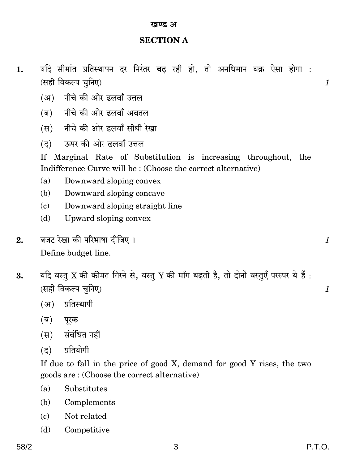#### खण्ड अ

## **SECTION A**

- यदि सीमांत प्रतिस्थापन दर निरंतर बढ रही हो. तो अनधिमान वक्र ऐसा होगा : 1. (सही विकल्प चनिए)
	- (अ) नीचे की ओर दलवाँ उत्तल
	- (ब) नीचे की ओर दलवाँ अवतल
	- (स) नीचे की ओर दलवाँ सीधी रेखा
	- ऊपर की ओर दलवाँ उत्तल  $(5)$

If Marginal Rate of Substitution is increasing throughout, the Indifference Curve will be: (Choose the correct alternative)

- $(a)$ Downward sloping convex
- (b) Downward sloping concave
- $(c)$ Downward sloping straight line
- Upward sloping convex (d)
- बजट रेखा की परिभाषा टीजिए ।  $2.$ Define budget line.
- यदि वस्तु X की कीमत गिरने से, वस्तु Y की माँग बढ़ती है, तो दोनों वस्तुएँ परस्पर ये हैं: 3. (सही विकल्प चनिए)
	- (अ) प्रतिस्थापी
	- (ब) पूरक
	- (स) संबंधित नहीं
	- प्रतियोगी  $(5)$

If due to fall in the price of good X, demand for good Y rises, the two goods are: (Choose the correct alternative)

3

- Substitutes  $(a)$
- (b) Complements
- Not related  $\epsilon$
- (d) Competitive

 $\mathcal{I}$ 

 $\mathcal{I}_{\mathcal{L}}$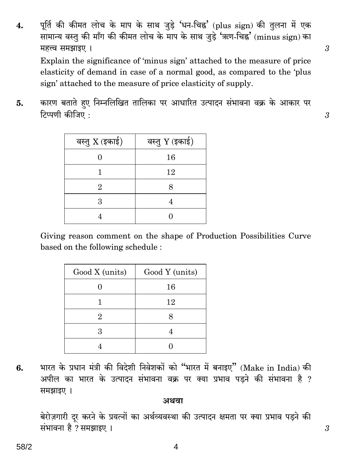पूर्ति की कीमत लोच के माप के साथ जुड़े 'धन-चिह्न' (plus sign) की तुलना में एक 4. सामान्य वस्तु की माँग की कीमत लोच के माप के साथ जुड़े 'ऋण-चिह्न' (minus sign) का महत्त्व समझाइए । Explain the significance of 'minus sign' attached to the measure of price elasticity of demand in case of a normal good, as compared to the 'plus sign' attached to the measure of price elasticity of supply.

कारण बताते हुए निम्नलिखित तालिका पर आधारित उत्पादन संभावना वक्र के आकार पर 5. टिप्पणी कीजिए:

| वस्तु X (इकाई) | वस्तु Y (इकाई) |
|----------------|----------------|
|                | 16             |
|                | 12             |
| 9.             | 8              |
| 3              |                |
|                |                |

Giving reason comment on the shape of Production Possibilities Curve based on the following schedule:

| Good X (units) | Good Y (units) |
|----------------|----------------|
|                | 16             |
|                | 12             |
| 2              |                |
| 3              |                |
|                |                |

भारत के प्रधान मंत्री की विदेशी निवेशकों को "भारत में बनाइए" (Make in India) की 6. अपील का भारत के उत्पादन संभावना वक्र पर क्या प्रभाव पड़ने की संभावना है ? समझाइए ।

#### अथवा

बेरोज़गारी दूर करने के प्रयत्नों का अर्थव्यवस्था की उत्पादन क्षमता पर क्या प्रभाव पड़ने की संभावना है ? समझाइए ।

4

 $\boldsymbol{\beta}$ 

3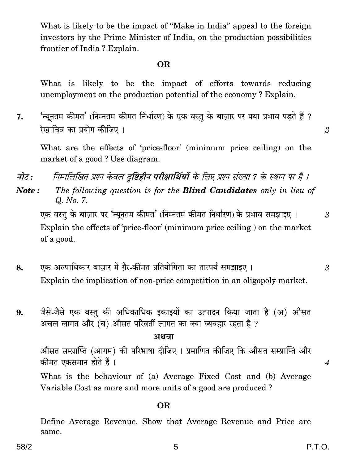What is likely to be the impact of "Make in India" appeal to the foreign investors by the Prime Minister of India, on the production possibilities frontier of India? Explain.

#### **OR**

What is likely to be the impact of efforts towards reducing unemployment on the production potential of the economy? Explain.

'न्यनतम कीमत' (निम्नतम कीमत निर्धारण) के एक वस्त के बाजार पर क्या प्रभाव पडते हैं ? 7. रेखाचित्र का प्रयोग कीजिए ।

What are the effects of 'price-floor' (minimum price ceiling) on the market of a good? Use diagram.

नोट : निम्नलिखित प्रश्न केवल दृष्टिहीन परीक्षार्थियों के लिए प्रश्न संख्या 7 के स्थान पर है ।

The following question is for the **Blind Candidates** only in lieu of Note: Q. No. 7.

एक वस्तु के बाज़ार पर 'न्यूनतम कीमत' (निम्नतम कीमत निर्धारण) के प्रभाव समझाइए । Explain the effects of 'price-floor' (minimum price ceiling) on the market of a good.

- एक अल्पाधिकार बाज़ार में ग़ैर-कीमत प्रतियोगिता का तात्पर्य समझाइए । 8. Explain the implication of non-price competition in an oligopoly market.
- जैसे-जैसे एक वस्तु की अधिकाधिक इकाइयों का उत्पादन किया जाता है (अ) औसत 9. अचल लागत और (ब) औसत परिवर्ती लागत का क्या व्यवहार रहता है ?

#### अथवा

औसत सम्प्राप्ति (आगम) की परिभाषा दीजिए । प्रमाणित कीजिए कि औसत सम्प्राप्ति और कीमत एकसमान होते हैं।

What is the behaviour of (a) Average Fixed Cost and (b) Average Variable Cost as more and more units of a good are produced?

#### **OR**

Define Average Revenue. Show that Average Revenue and Price are same.

3

 $\mathcal{S}$ 

3

 $\overline{4}$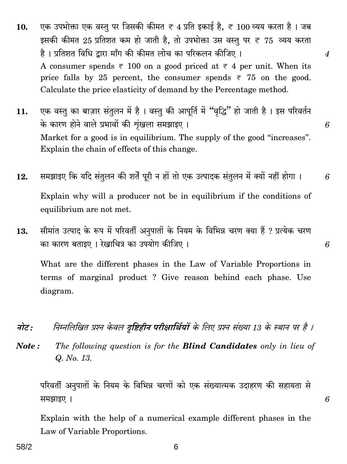- एक उपभोक्ता एक वस्तु पर जिसकी कीमत ₹ 4 प्रति इकाई है, ₹ 100 व्यय करता है। जब 10. इसकी कीमत 25 प्रतिशत कम हो जाती है. तो उपभोक्ता उस वस्तु पर ₹ 75 व्यय करता है। प्रतिशत विधि द्वारा माँग की कीमत लोच का परिकलन कीजिए।  $\overline{4}$ A consumer spends  $\overline{\tau}$  100 on a good priced at  $\overline{\tau}$  4 per unit. When its price falls by 25 percent, the consumer spends  $\overline{\tau}$  75 on the good. Calculate the price elasticity of demand by the Percentage method.
- एक वस्तु का बाज़ार संतुलन में है। वस्तु की आपूर्ति में "वृद्धि" हो जाती है। इस परिवर्तन 11. के कारण होने वाले प्रभावों की शृंखला समझाइए। Market for a good is in equilibrium. The supply of the good "increases". Explain the chain of effects of this change.
- समझाइए कि यदि संतुलन की शर्तें पूरी न हों तो एक उत्पादक संतुलन में क्यों नहीं होगा । 12. Explain why will a producer not be in equilibrium if the conditions of equilibrium are not met.
- सीमांत उत्पाद के रूप में परिवर्ती अनुपातों के नियम के विभिन्न चरण क्या हैं ? प्रत्येक चरण 13. का कारण बताइए । रेखाचित्र का उपयोग कीजिए ।

What are the different phases in the Law of Variable Proportions in terms of marginal product ? Give reason behind each phase. Use diagram.

निम्नलिखित प्रश्न केवल दृष्टिहीन परीक्षार्थियों के लिए प्रश्न संख्या 13 के स्थान पर है । नोट :

Note: The following question is for the **Blind Candidates** only in lieu of Q. No. 13.

परिवर्ती अनुपातों के नियम के विभिन्न चरणों को एक संख्यात्मक उदाहरण की सहायता से समझाइए ।

Explain with the help of a numerical example different phases in the Law of Variable Proportions.

6

6

6

6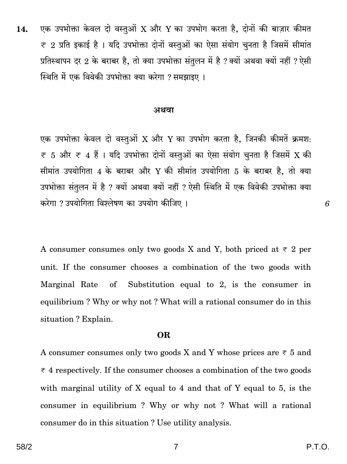एक उपभोक्ता केवल दो वस्तुओं X और Y का उपभोग करता है, दोनों की बाज़ार कीमत  $14.$  $\overline{\tau}$  2 प्रति इकाई है । यदि उपभोक्ता दोनों वस्तुओं का ऐसा संयोग चुनता है जिसमें सीमांत प्रतिस्थापन दर 2 के बराबर है, तो क्या उपभोक्ता संतुलन में है ? क्यों अथवा क्यों नहीं ? ऐसी स्थिति में एक विवेकी उपभोक्ता क्या करेगा ? समझाइए ।

#### अथवा

एक उपभोक्ता केवल दो वस्तुओं X और Y का उपभोग करता है, जिनकी कीमतें क्रमश:  $\overline{\tau}$  5 और  $\overline{\tau}$  4 हैं । यदि उपभोक्ता दोनों वस्तुओं का ऐसा संयोग चनता है जिसमें X की सीमांत उपयोगिता 4 के बराबर और Y की सीमांत उपयोगिता 5 के बराबर है, तो क्या उपभोक्ता संतुलन में है ? क्यों अथवा क्यों नहीं ? ऐसी स्थिति में एक विवेकी उपभोक्ता क्या करेगा ? उपयोगिता विश्लेषण का उपयोग कीजिए ।

A consumer consumes only two goods X and Y, both priced at  $\overline{\tau}$  2 per unit. If the consumer chooses a combination of the two goods with Substitution equal to 2, is the consumer in Marginal Rate  $\sigma$ equilibrium? Why or why not? What will a rational consumer do in this situation? Explain.

#### **OR**

A consumer consumes only two goods X and Y whose prices are  $\overline{\tau}$  5 and  $\overline{\tau}$  4 respectively. If the consumer chooses a combination of the two goods with marginal utility of X equal to 4 and that of Y equal to 5, is the consumer in equilibrium? Why or why not? What will a rational consumer do in this situation? Use utility analysis.

P.T.O.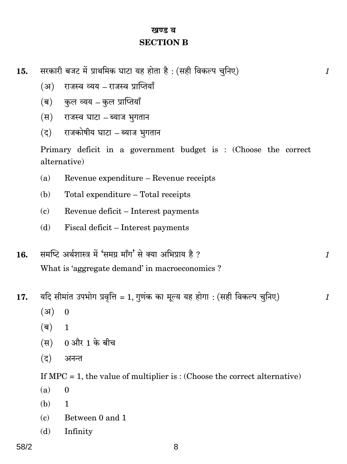# खण्ड ब **SECTION B**

- सरकारी बजट में प्राथमिक घाटा यह होता है: (सही विकल्प चुनिए) 15.
	- $(3)$ राजस्व व्यय – राजस्व प्राप्तियाँ
	- कुल व्यय कुल प्राप्तियाँ (ब)
	- राजस्व घाटा ब्याज भुगतान (स)
	- राजकोषीय घाटा ब्याज भूगतान  $(5)$

Primary deficit in a government budget is: (Choose the correct alternative)

- $(a)$ Revenue expenditure - Revenue receipts
- (b) Total expenditure - Total receipts
- $\epsilon$ ) Revenue deficit – Interest payments
- Fiscal deficit Interest payments (d)
- समष्टि अर्थशास्त्र में 'समग्र माँग' से क्या अभिप्राय है ? 16. What is 'aggregate demand' in macroeconomics?
- यदि सीमांत उपभोग प्रवृत्ति = 1, गुणंक का मूल्य यह होगा : (सही विकल्प चुनिए) 17.
	- $(3)$  $\mathbf{0}$
	- $(\overline{\mathbf{e}})$  $\mathbf{1}$
	- (स) 0 और 1 के बीच
	- $(5)$ अनन्त

If  $MPC = 1$ , the value of multiplier is: (Choose the correct alternative)

- $(a)$  $\overline{0}$
- (b) 1
- $(c)$ Between 0 and 1
- Infinity  $(d)$

 $\mathcal{I}_{\mathcal{L}}$ 

 $\mathcal{I}_{\mathcal{L}}$ 

 $\mathcal{I}$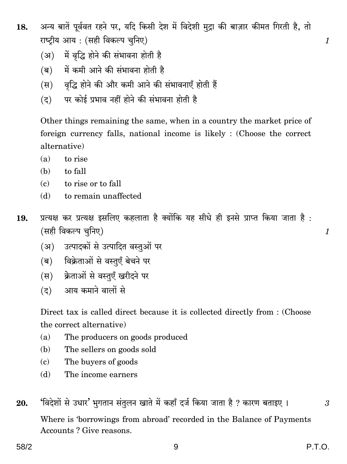- अन्य बातें पूर्ववत रहने पर, यदि किसी देश में विदेशी मुद्रा की बाज़ार कीमत गिरती है, तो 18. राष्टीय आय: (सही विकल्प चनिए)
	- (अ) में वृद्धि होने की संभावना होती है
	- (ब) में कमी आने की संभावना होती है
	- (स) वृद्धि होने की और कमी आने की संभावनाएँ होती हैं
	- (द) पर कोई प्रभाव नहीं होने की संभावना होती है

Other things remaining the same, when in a country the market price of foreign currency falls, national income is likely : (Choose the correct alternative)

- to rise  $(a)$
- to fall (b)
- $(c)$  to rise or to fall
- $(d)$ to remain unaffected
- प्रत्यक्ष कर प्रत्यक्ष इसलिए कहलाता है क्योंकि यह सीधे ही इनसे प्राप्त किया जाता है: 19. (सही विकल्प चुनिए)
	- (अ) उत्पादकों से उत्पादित वस्तुओं पर
	- (ब) विक्रेताओं से वस्तुएँ बेचने पर
	- (स) क्रेताओं से वस्तएँ खरीदने पर
	- (द) आय कमाने वालों से

Direct tax is called direct because it is collected directly from : (Choose the correct alternative)

- $(a)$ The producers on goods produced
- (b) The sellers on goods sold
- The buyers of goods  $(c)$
- (d) The income earners

'विदेशों से उधार' भगतान संतुलन खाते में कहाँ दर्ज किया जाता है ? कारण बताइए । 20. Where is 'borrowings from abroad' recorded in the Balance of Payments Accounts? Give reasons.

3

 $\mathcal{I}$ 

 $\mathcal{I}_{\mathcal{L}}$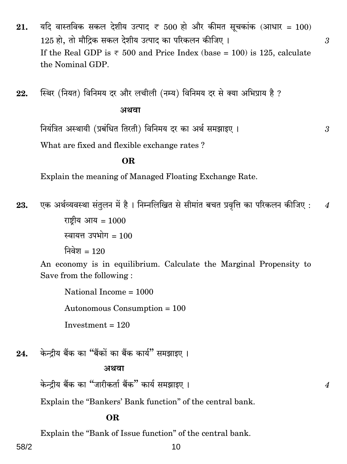- यदि वास्तविक सकल देशीय उत्पाद ₹ 500 हो और कीमत सूचकांक (आधार = 100) 21. 125 हो. तो मौदिक सकल देशीय उत्पाद का परिकलन कीजिए। If the Real GDP is  $\overline{\epsilon}$  500 and Price Index (base = 100) is 125, calculate the Nominal GDP.
- स्थिर (नियत) विनिमय दर और लचीली (नम्य) विनिमय दर से क्या अभिप्राय है ? 22. अथवा

नियंत्रित अस्थायी (प्रबंधित तिरती) विनिमय दर का अर्थ समझाइए ।

What are fixed and flexible exchange rates?

# OR.

Explain the meaning of Managed Floating Exchange Rate.

एक अर्थव्यवस्था संतुलन में है। निम्नलिखित से सीमांत बचत प्रवृत्ति का परिकलन कीजिए : 23.  $\overline{4}$ राष्ट्रीय आय =  $1000$ 

स्वायत्त उपभोग =  $100$ 

निवेश = 120

An economy is in equilibrium. Calculate the Marginal Propensity to Save from the following:

National Income  $= 1000$ Autonomous Consumption = 100

केन्दीय बैंक का "बैंकों का बैंक कार्य" समझाइए । 24.

Investment =  $120$ 

## अथवा

केन्द्रीय बैंक का "जारीकर्ता बैंक" कार्य समझाइए ।

Explain the "Bankers' Bank function" of the central bank.

## OR.

Explain the "Bank of Issue function" of the central bank.

 $\overline{4}$ 

 $\mathfrak{Z}$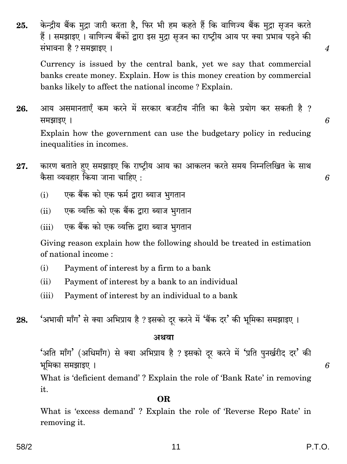58/2

केन्द्रीय बैंक मुद्रा जारी करता है, फिर भी हम कहते हैं कि वाणिज्य बैंक मुद्रा सृजन करते 25. हैं। समझाइए। वाणिज्य बैंकों द्वारा इस मुद्रा सृजन का राष्ट्रीय आय पर क्या प्रभाव पड़ने की संभावना है ? समझाइए ।

Currency is issued by the central bank, yet we say that commercial banks create money. Explain. How is this money creation by commercial banks likely to affect the national income? Explain.

- आय असमानताएँ कम करने में सरकार बजटीय नीति का कैसे प्रयोग कर सकती है ? 26. समझाइए । Explain how the government can use the budgetary policy in reducing inequalities in incomes.
- कारण बताते हुए समझाइए कि राष्ट्रीय आय का आकलन करते समय निम्नलिखित के साथ 27. कैसा व्यवहार किया जाना चाहिए:
	- एक बैंक को एक फर्म द्वारा ब्याज भगतान  $(i)$
	- एक व्यक्ति को एक बैंक द्वारा ब्याज भगतान  $(ii)$
	- एक बैंक को एक व्यक्ति द्वारा ब्याज भगतान  $(iii)$

Giving reason explain how the following should be treated in estimation of national income:

- $(i)$ Payment of interest by a firm to a bank
- $(ii)$ Payment of interest by a bank to an individual
- Payment of interest by an individual to a bank  $(iii)$
- 'अभावी माँग' से क्या अभिप्राय है ? इसको दर करने में 'बैंक दर' की भूमिका समझाइए । 28.

#### अथवा

'अति माँग' (अधिमाँग) से क्या अभिप्राय है ? इसको दुर करने में 'प्रति पुनर्खरीद दर' की भूमिका समझाइए ।

What is 'deficient demand'? Explain the role of 'Bank Rate' in removing it.

# OR.

What is 'excess demand'? Explain the role of 'Reverse Repo Rate' in removing it.

6

 $\overline{4}$ 

6